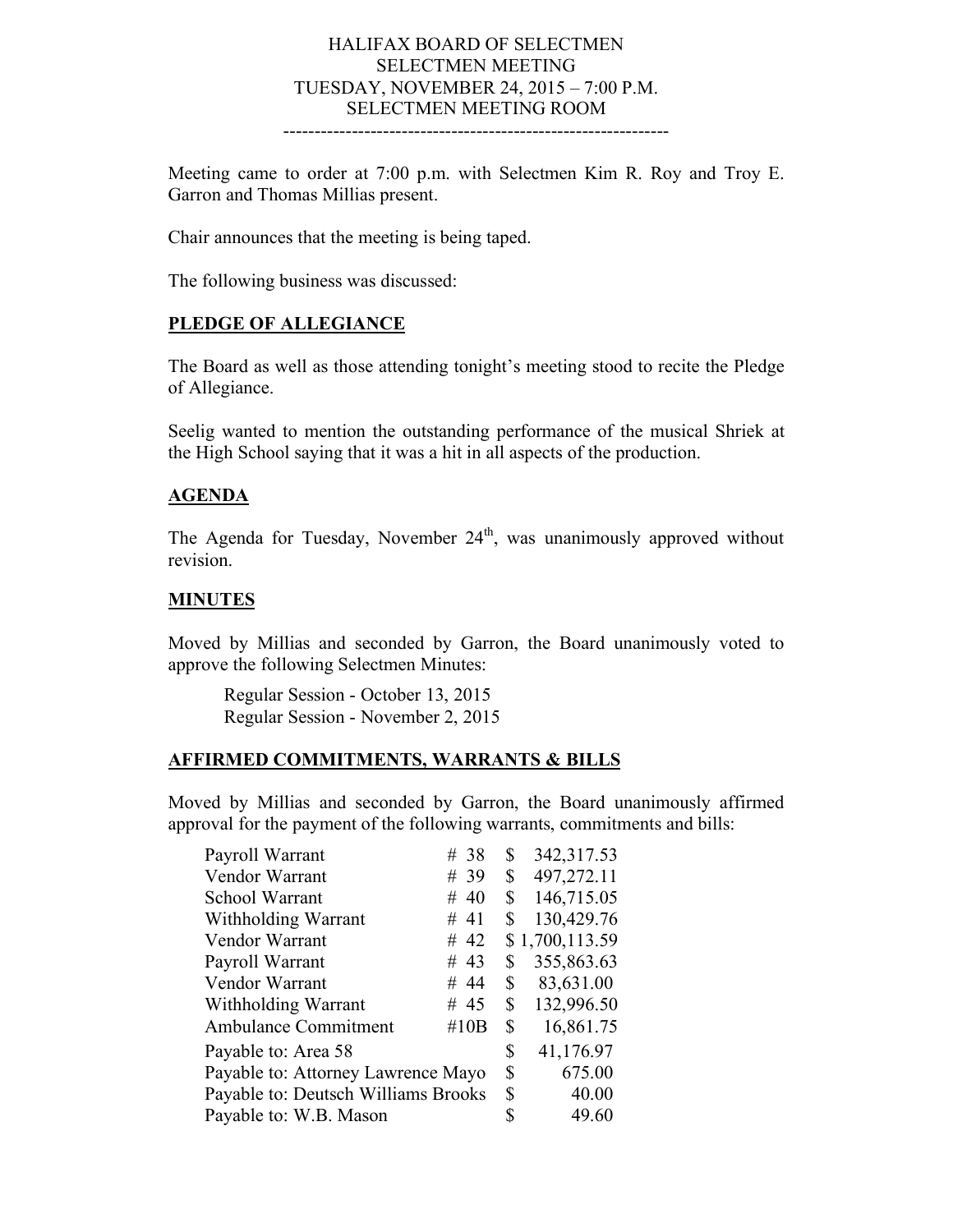#### HALIFAX BOARD OF SELECTMEN SELECTMEN MEETING TUESDAY, NOVEMBER 24, 2015 – 7:00 P.M. SELECTMEN MEETING ROOM --------------------------------------------------------------

Meeting came to order at 7:00 p.m. with Selectmen Kim R. Roy and Troy E. Garron and Thomas Millias present.

Chair announces that the meeting is being taped.

The following business was discussed:

### **PLEDGE OF ALLEGIANCE**

The Board as well as those attending tonight's meeting stood to recite the Pledge of Allegiance.

Seelig wanted to mention the outstanding performance of the musical Shriek at the High School saying that it was a hit in all aspects of the production.

#### **AGENDA**

The Agenda for Tuesday, November  $24<sup>th</sup>$ , was unanimously approved without revision.

### **MINUTES**

Moved by Millias and seconded by Garron, the Board unanimously voted to approve the following Selectmen Minutes:

Regular Session - October 13, 2015 Regular Session - November 2, 2015

### **AFFIRMED COMMITMENTS, WARRANTS & BILLS**

Moved by Millias and seconded by Garron, the Board unanimously affirmed approval for the payment of the following warrants, commitments and bills:

| Payroll Warrant                     | # 38 | \$<br>342,317.53 |
|-------------------------------------|------|------------------|
| Vendor Warrant                      | # 39 | \$<br>497,272.11 |
| School Warrant                      | # 40 | \$<br>146,715.05 |
| Withholding Warrant                 | # 41 | \$<br>130,429.76 |
| Vendor Warrant                      | #42  | \$1,700,113.59   |
| Payroll Warrant                     | # 43 | \$<br>355,863.63 |
| Vendor Warrant                      | # 44 | \$<br>83,631.00  |
| Withholding Warrant                 | # 45 | \$<br>132,996.50 |
| <b>Ambulance Commitment</b>         | #10B | \$<br>16,861.75  |
| Payable to: Area 58                 |      | \$<br>41,176.97  |
| Payable to: Attorney Lawrence Mayo  |      | \$<br>675.00     |
| Payable to: Deutsch Williams Brooks |      | \$<br>40.00      |
| Payable to: W.B. Mason              |      | \$<br>49.60      |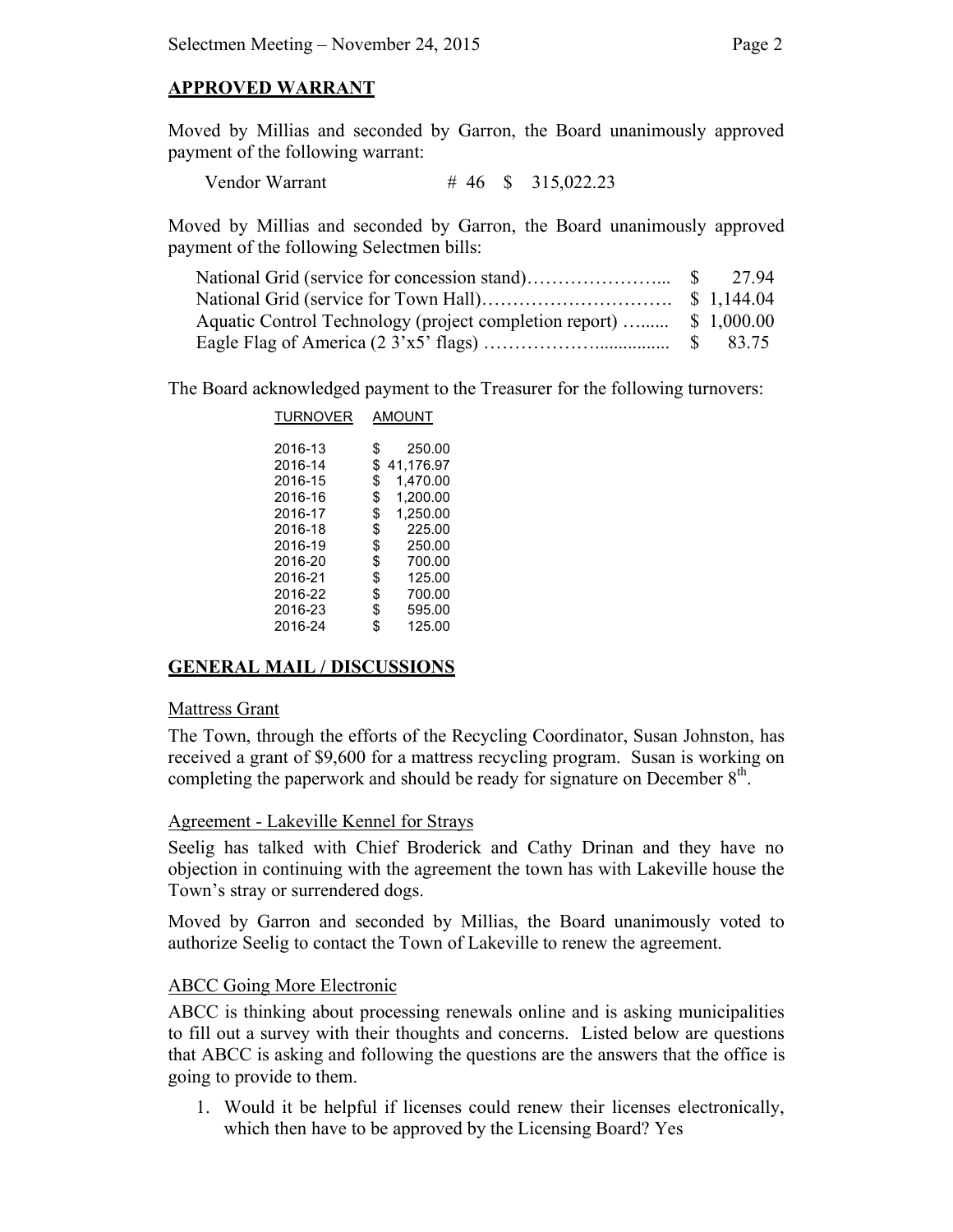### **APPROVED WARRANT**

Moved by Millias and seconded by Garron, the Board unanimously approved payment of the following warrant:

Vendor Warrant # 46 \$ 315,022.23

Moved by Millias and seconded by Garron, the Board unanimously approved payment of the following Selectmen bills:

|                                                                     | 27.94 |
|---------------------------------------------------------------------|-------|
|                                                                     |       |
| Aquatic Control Technology (project completion report)  \$ 1,000.00 |       |
|                                                                     |       |

The Board acknowledged payment to the Treasurer for the following turnovers:

| TURNOVER | AMOUNT          |  |  |
|----------|-----------------|--|--|
| 2016-13  | \$<br>250.00    |  |  |
| 2016-14  | \$<br>41,176.97 |  |  |
| 2016-15  | \$<br>1,470.00  |  |  |
| 2016-16  | \$<br>1,200.00  |  |  |
| 2016-17  | \$<br>1,250.00  |  |  |
| 2016-18  | \$<br>225.00    |  |  |
| 2016-19  | \$<br>250.00    |  |  |
| 2016-20  | \$<br>700.00    |  |  |
| 2016-21  | \$<br>125.00    |  |  |
| 2016-22  | \$<br>700.00    |  |  |
| 2016-23  | \$<br>595.00    |  |  |
| 2016-24  | \$<br>125.00    |  |  |

## **GENERAL MAIL / DISCUSSIONS**

### Mattress Grant

The Town, through the efforts of the Recycling Coordinator, Susan Johnston, has received a grant of \$9,600 for a mattress recycling program. Susan is working on completing the paperwork and should be ready for signature on December  $8<sup>th</sup>$ .

### Agreement - Lakeville Kennel for Strays

Seelig has talked with Chief Broderick and Cathy Drinan and they have no objection in continuing with the agreement the town has with Lakeville house the Town's stray or surrendered dogs.

Moved by Garron and seconded by Millias, the Board unanimously voted to authorize Seelig to contact the Town of Lakeville to renew the agreement.

### ABCC Going More Electronic

ABCC is thinking about processing renewals online and is asking municipalities to fill out a survey with their thoughts and concerns. Listed below are questions that ABCC is asking and following the questions are the answers that the office is going to provide to them.

1. Would it be helpful if licenses could renew their licenses electronically, which then have to be approved by the Licensing Board? Yes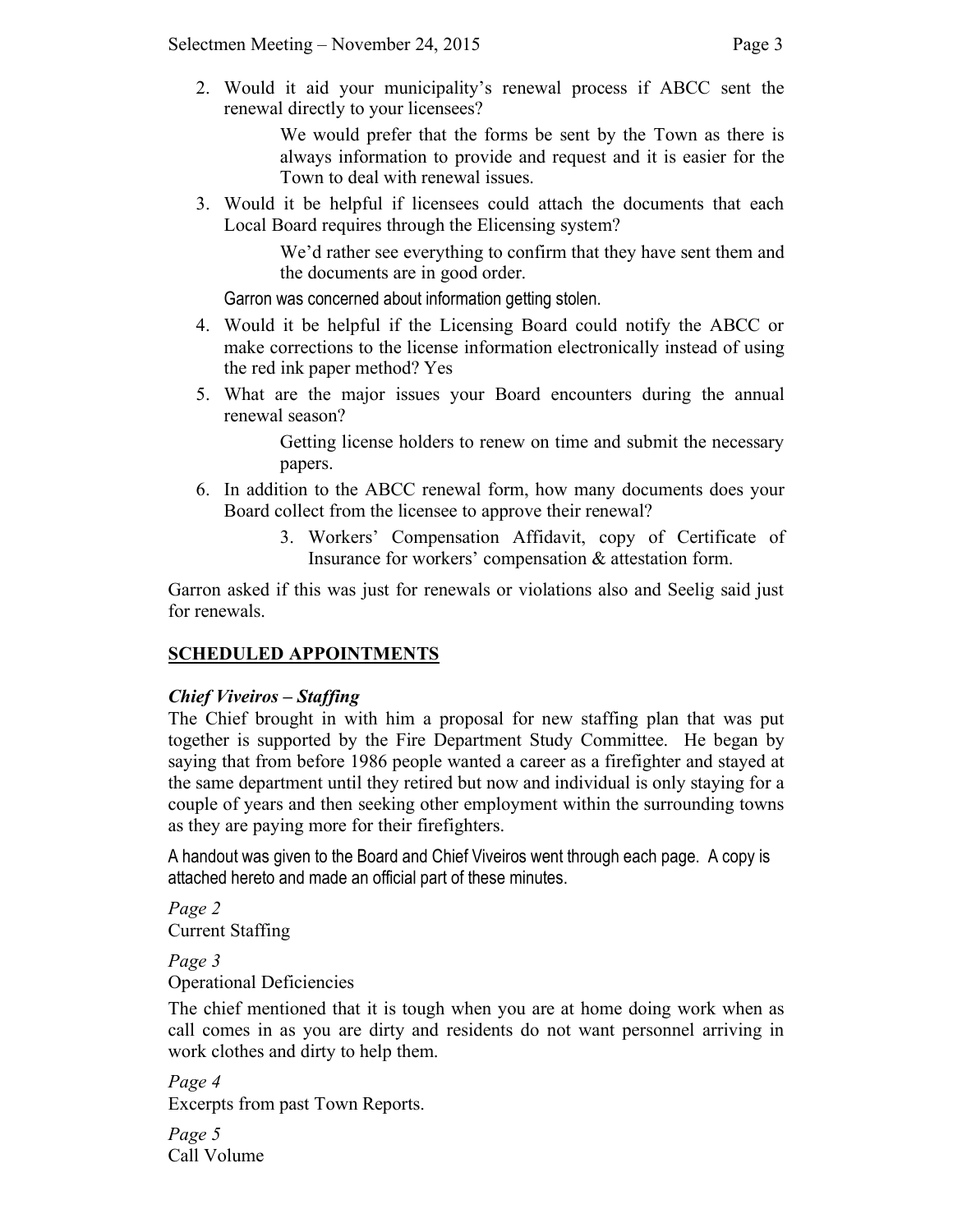2. Would it aid your municipality's renewal process if ABCC sent the renewal directly to your licensees?

> We would prefer that the forms be sent by the Town as there is always information to provide and request and it is easier for the Town to deal with renewal issues.

3. Would it be helpful if licensees could attach the documents that each Local Board requires through the Elicensing system?

> We'd rather see everything to confirm that they have sent them and the documents are in good order.

Garron was concerned about information getting stolen.

- 4. Would it be helpful if the Licensing Board could notify the ABCC or make corrections to the license information electronically instead of using the red ink paper method? Yes
- 5. What are the major issues your Board encounters during the annual renewal season?

Getting license holders to renew on time and submit the necessary papers.

- 6. In addition to the ABCC renewal form, how many documents does your Board collect from the licensee to approve their renewal?
	- 3. Workers' Compensation Affidavit, copy of Certificate of Insurance for workers' compensation & attestation form.

Garron asked if this was just for renewals or violations also and Seelig said just for renewals.

# **SCHEDULED APPOINTMENTS**

## *Chief Viveiros – Staffing*

The Chief brought in with him a proposal for new staffing plan that was put together is supported by the Fire Department Study Committee. He began by saying that from before 1986 people wanted a career as a firefighter and stayed at the same department until they retired but now and individual is only staying for a couple of years and then seeking other employment within the surrounding towns as they are paying more for their firefighters.

A handout was given to the Board and Chief Viveiros went through each page. A copy is attached hereto and made an official part of these minutes.

*Page 2* Current Staffing

*Page 3* Operational Deficiencies

The chief mentioned that it is tough when you are at home doing work when as call comes in as you are dirty and residents do not want personnel arriving in work clothes and dirty to help them.

*Page 4* Excerpts from past Town Reports.

*Page 5* Call Volume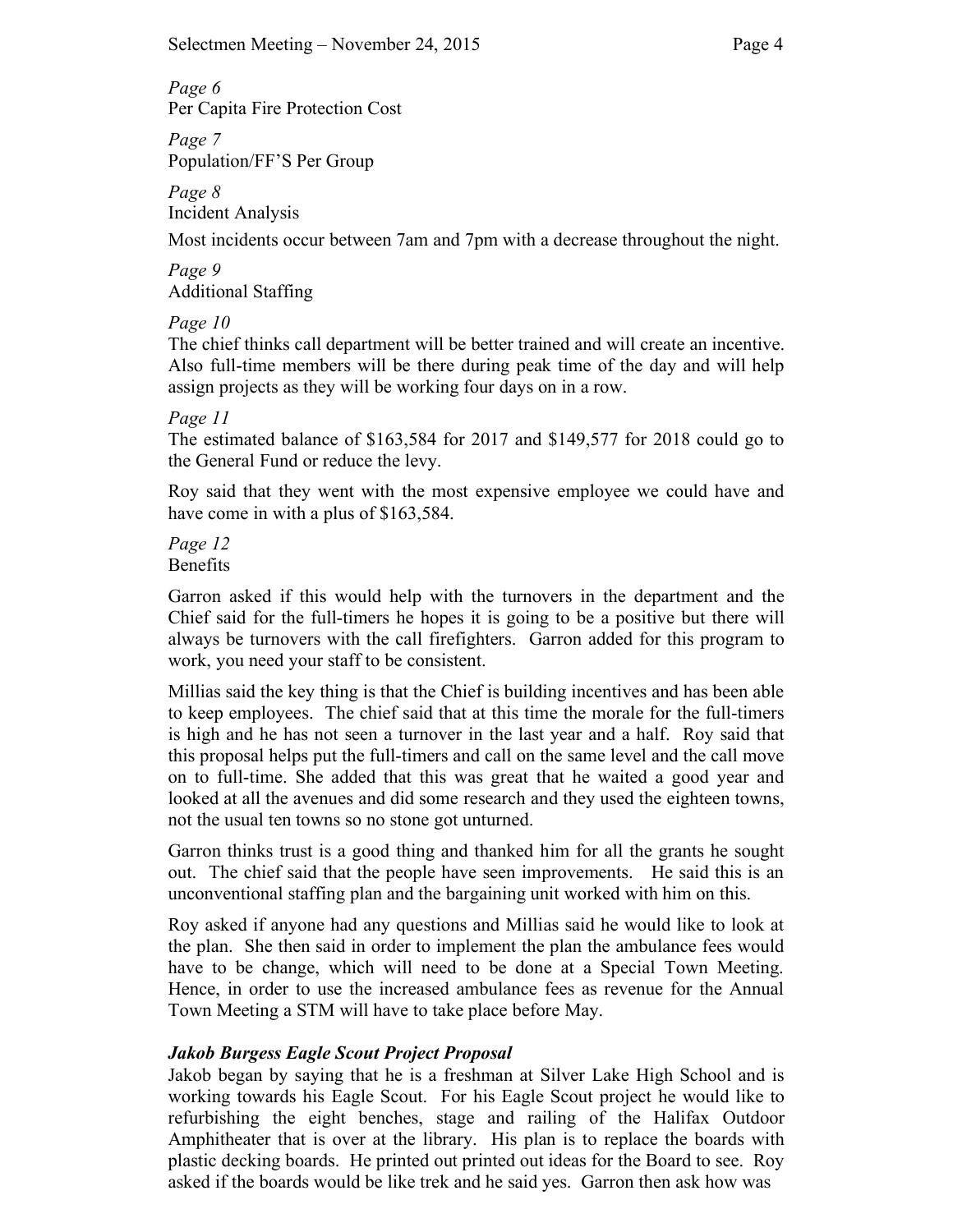*Page 6*

Per Capita Fire Protection Cost

*Page 7* Population/FF'S Per Group

*Page 8* Incident Analysis

Most incidents occur between 7am and 7pm with a decrease throughout the night.

*Page 9* Additional Staffing

# *Page 10*

The chief thinks call department will be better trained and will create an incentive. Also full-time members will be there during peak time of the day and will help assign projects as they will be working four days on in a row.

## *Page 11*

The estimated balance of \$163,584 for 2017 and \$149,577 for 2018 could go to the General Fund or reduce the levy.

Roy said that they went with the most expensive employee we could have and have come in with a plus of \$163,584.

*Page 12* Benefits

Garron asked if this would help with the turnovers in the department and the Chief said for the full-timers he hopes it is going to be a positive but there will always be turnovers with the call firefighters. Garron added for this program to work, you need your staff to be consistent.

Millias said the key thing is that the Chief is building incentives and has been able to keep employees. The chief said that at this time the morale for the full-timers is high and he has not seen a turnover in the last year and a half. Roy said that this proposal helps put the full-timers and call on the same level and the call move on to full-time. She added that this was great that he waited a good year and looked at all the avenues and did some research and they used the eighteen towns, not the usual ten towns so no stone got unturned.

Garron thinks trust is a good thing and thanked him for all the grants he sought out. The chief said that the people have seen improvements. He said this is an unconventional staffing plan and the bargaining unit worked with him on this.

Roy asked if anyone had any questions and Millias said he would like to look at the plan. She then said in order to implement the plan the ambulance fees would have to be change, which will need to be done at a Special Town Meeting. Hence, in order to use the increased ambulance fees as revenue for the Annual Town Meeting a STM will have to take place before May.

# *Jakob Burgess Eagle Scout Project Proposal*

Jakob began by saying that he is a freshman at Silver Lake High School and is working towards his Eagle Scout. For his Eagle Scout project he would like to refurbishing the eight benches, stage and railing of the Halifax Outdoor Amphitheater that is over at the library. His plan is to replace the boards with plastic decking boards. He printed out printed out ideas for the Board to see. Roy asked if the boards would be like trek and he said yes. Garron then ask how was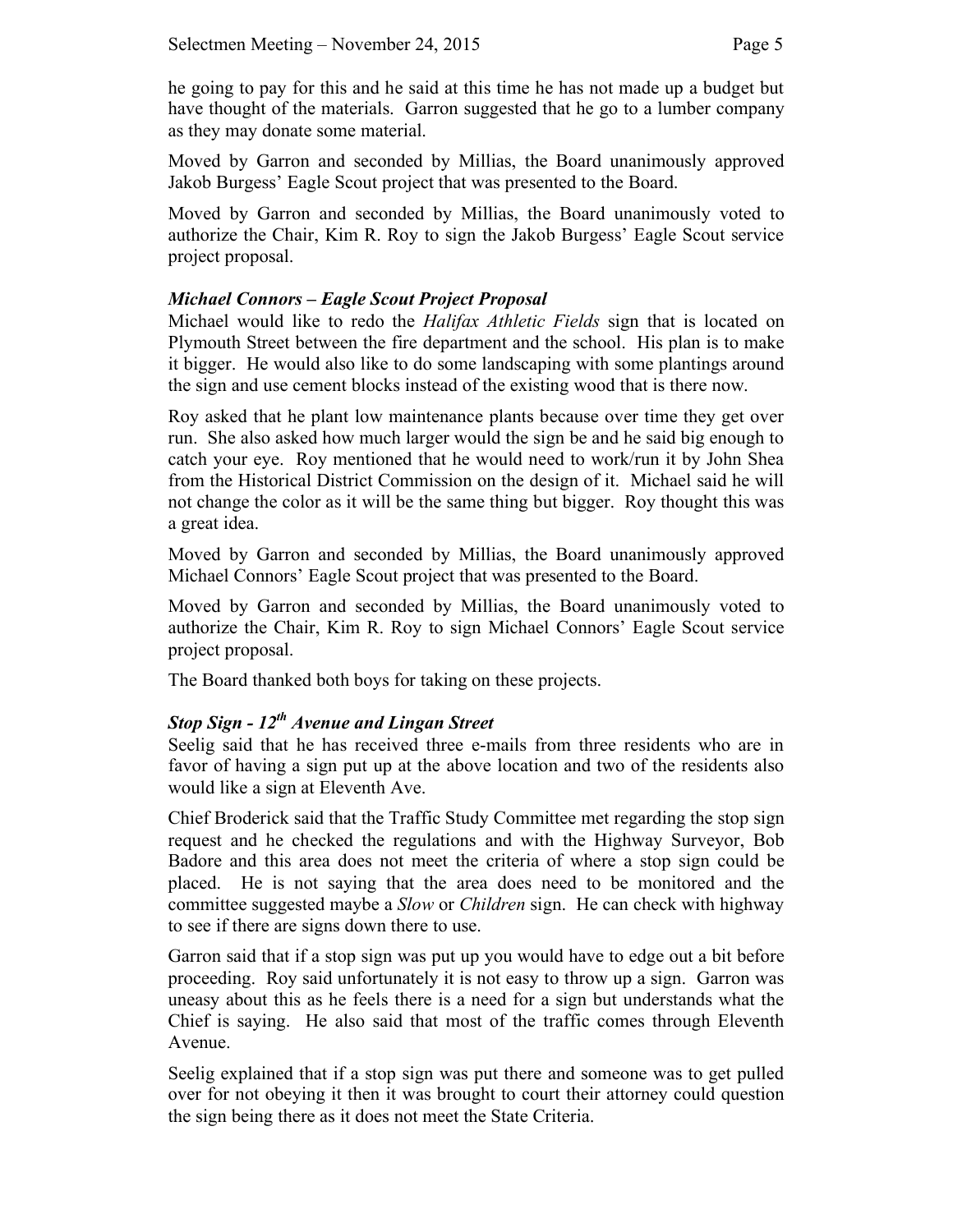he going to pay for this and he said at this time he has not made up a budget but have thought of the materials. Garron suggested that he go to a lumber company as they may donate some material.

Moved by Garron and seconded by Millias, the Board unanimously approved Jakob Burgess' Eagle Scout project that was presented to the Board.

Moved by Garron and seconded by Millias, the Board unanimously voted to authorize the Chair, Kim R. Roy to sign the Jakob Burgess' Eagle Scout service project proposal.

## *Michael Connors – Eagle Scout Project Proposal*

Michael would like to redo the *Halifax Athletic Fields* sign that is located on Plymouth Street between the fire department and the school. His plan is to make it bigger. He would also like to do some landscaping with some plantings around the sign and use cement blocks instead of the existing wood that is there now.

Roy asked that he plant low maintenance plants because over time they get over run. She also asked how much larger would the sign be and he said big enough to catch your eye. Roy mentioned that he would need to work/run it by John Shea from the Historical District Commission on the design of it. Michael said he will not change the color as it will be the same thing but bigger. Roy thought this was a great idea.

Moved by Garron and seconded by Millias, the Board unanimously approved Michael Connors' Eagle Scout project that was presented to the Board.

Moved by Garron and seconded by Millias, the Board unanimously voted to authorize the Chair, Kim R. Roy to sign Michael Connors' Eagle Scout service project proposal.

The Board thanked both boys for taking on these projects.

## *Stop Sign - 12th Avenue and Lingan Street*

Seelig said that he has received three e-mails from three residents who are in favor of having a sign put up at the above location and two of the residents also would like a sign at Eleventh Ave.

Chief Broderick said that the Traffic Study Committee met regarding the stop sign request and he checked the regulations and with the Highway Surveyor, Bob Badore and this area does not meet the criteria of where a stop sign could be placed. He is not saying that the area does need to be monitored and the committee suggested maybe a *Slow* or *Children* sign. He can check with highway to see if there are signs down there to use.

Garron said that if a stop sign was put up you would have to edge out a bit before proceeding. Roy said unfortunately it is not easy to throw up a sign. Garron was uneasy about this as he feels there is a need for a sign but understands what the Chief is saying. He also said that most of the traffic comes through Eleventh Avenue.

Seelig explained that if a stop sign was put there and someone was to get pulled over for not obeying it then it was brought to court their attorney could question the sign being there as it does not meet the State Criteria.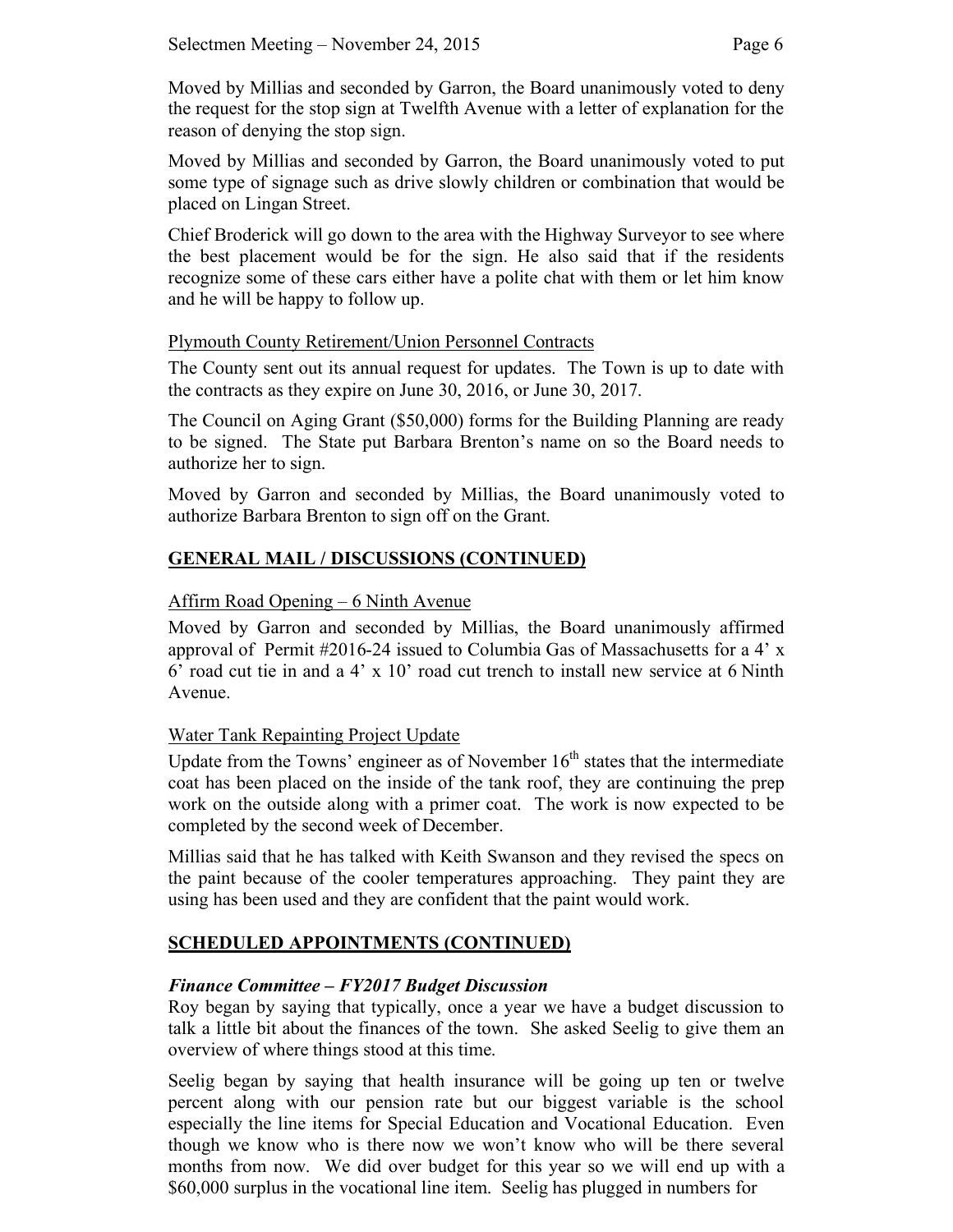Moved by Millias and seconded by Garron, the Board unanimously voted to deny the request for the stop sign at Twelfth Avenue with a letter of explanation for the reason of denying the stop sign.

Moved by Millias and seconded by Garron, the Board unanimously voted to put some type of signage such as drive slowly children or combination that would be placed on Lingan Street.

Chief Broderick will go down to the area with the Highway Surveyor to see where the best placement would be for the sign. He also said that if the residents recognize some of these cars either have a polite chat with them or let him know and he will be happy to follow up.

### Plymouth County Retirement/Union Personnel Contracts

The County sent out its annual request for updates. The Town is up to date with the contracts as they expire on June 30, 2016, or June 30, 2017.

The Council on Aging Grant (\$50,000) forms for the Building Planning are ready to be signed. The State put Barbara Brenton's name on so the Board needs to authorize her to sign.

Moved by Garron and seconded by Millias, the Board unanimously voted to authorize Barbara Brenton to sign off on the Grant.

# **GENERAL MAIL / DISCUSSIONS (CONTINUED)**

### Affirm Road Opening – 6 Ninth Avenue

Moved by Garron and seconded by Millias, the Board unanimously affirmed approval of Permit #2016-24 issued to Columbia Gas of Massachusetts for a 4' x 6' road cut tie in and a  $4' \times 10'$  road cut trench to install new service at 6 Ninth Avenue.

### Water Tank Repainting Project Update

Update from the Towns' engineer as of November  $16<sup>th</sup>$  states that the intermediate coat has been placed on the inside of the tank roof, they are continuing the prep work on the outside along with a primer coat. The work is now expected to be completed by the second week of December.

Millias said that he has talked with Keith Swanson and they revised the specs on the paint because of the cooler temperatures approaching. They paint they are using has been used and they are confident that the paint would work.

## **SCHEDULED APPOINTMENTS (CONTINUED)**

### *Finance Committee – FY2017 Budget Discussion*

Roy began by saying that typically, once a year we have a budget discussion to talk a little bit about the finances of the town. She asked Seelig to give them an overview of where things stood at this time.

Seelig began by saying that health insurance will be going up ten or twelve percent along with our pension rate but our biggest variable is the school especially the line items for Special Education and Vocational Education. Even though we know who is there now we won't know who will be there several months from now. We did over budget for this year so we will end up with a \$60,000 surplus in the vocational line item. Seelig has plugged in numbers for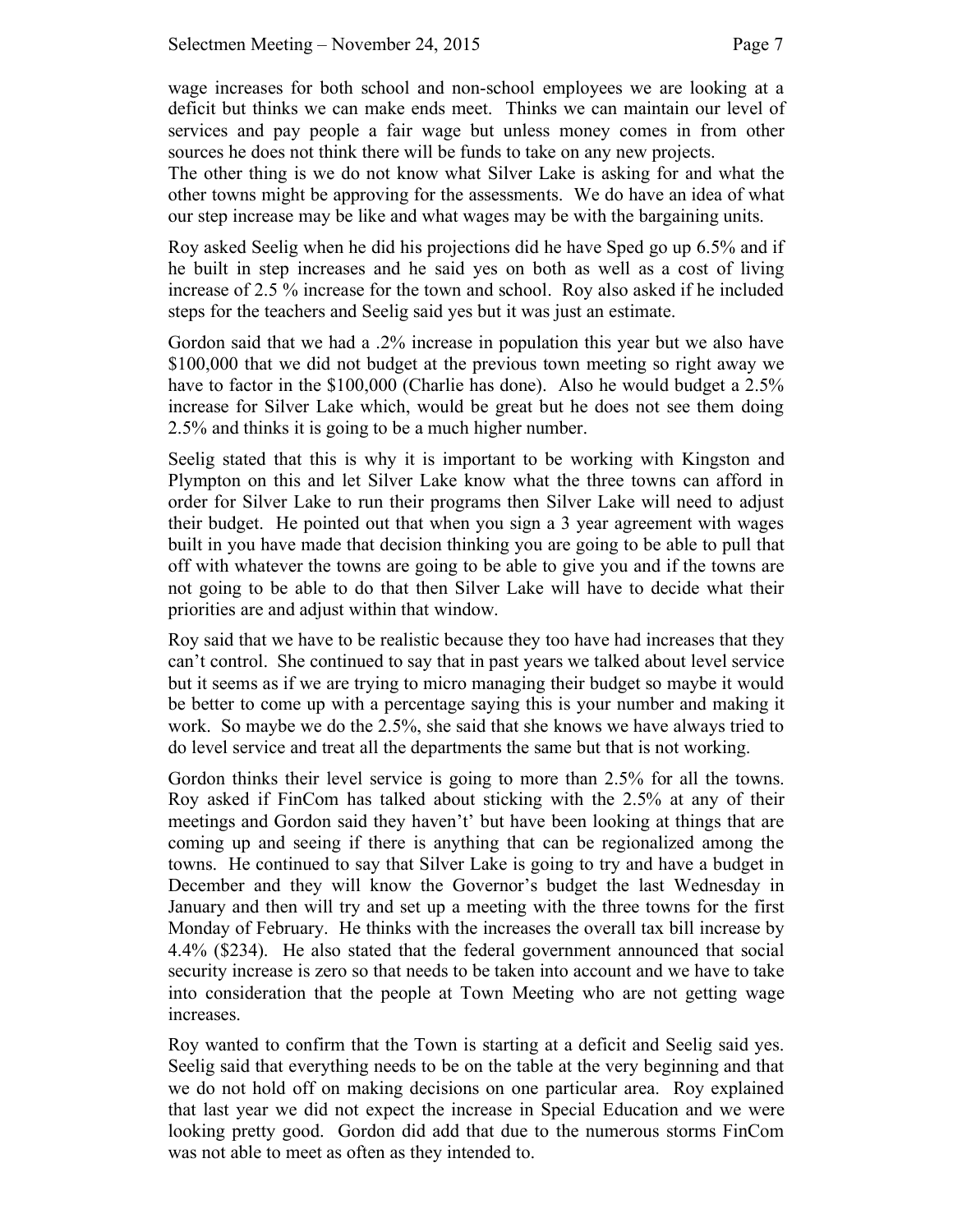wage increases for both school and non-school employees we are looking at a deficit but thinks we can make ends meet. Thinks we can maintain our level of services and pay people a fair wage but unless money comes in from other sources he does not think there will be funds to take on any new projects.

The other thing is we do not know what Silver Lake is asking for and what the other towns might be approving for the assessments. We do have an idea of what our step increase may be like and what wages may be with the bargaining units.

Roy asked Seelig when he did his projections did he have Sped go up 6.5% and if he built in step increases and he said yes on both as well as a cost of living increase of 2.5 % increase for the town and school. Roy also asked if he included steps for the teachers and Seelig said yes but it was just an estimate.

Gordon said that we had a .2% increase in population this year but we also have \$100,000 that we did not budget at the previous town meeting so right away we have to factor in the \$100,000 (Charlie has done). Also he would budget a 2.5% increase for Silver Lake which, would be great but he does not see them doing 2.5% and thinks it is going to be a much higher number.

Seelig stated that this is why it is important to be working with Kingston and Plympton on this and let Silver Lake know what the three towns can afford in order for Silver Lake to run their programs then Silver Lake will need to adjust their budget. He pointed out that when you sign a 3 year agreement with wages built in you have made that decision thinking you are going to be able to pull that off with whatever the towns are going to be able to give you and if the towns are not going to be able to do that then Silver Lake will have to decide what their priorities are and adjust within that window.

Roy said that we have to be realistic because they too have had increases that they can't control. She continued to say that in past years we talked about level service but it seems as if we are trying to micro managing their budget so maybe it would be better to come up with a percentage saying this is your number and making it work. So maybe we do the 2.5%, she said that she knows we have always tried to do level service and treat all the departments the same but that is not working.

Gordon thinks their level service is going to more than 2.5% for all the towns. Roy asked if FinCom has talked about sticking with the 2.5% at any of their meetings and Gordon said they haven't' but have been looking at things that are coming up and seeing if there is anything that can be regionalized among the towns. He continued to say that Silver Lake is going to try and have a budget in December and they will know the Governor's budget the last Wednesday in January and then will try and set up a meeting with the three towns for the first Monday of February. He thinks with the increases the overall tax bill increase by 4.4% (\$234). He also stated that the federal government announced that social security increase is zero so that needs to be taken into account and we have to take into consideration that the people at Town Meeting who are not getting wage increases.

Roy wanted to confirm that the Town is starting at a deficit and Seelig said yes. Seelig said that everything needs to be on the table at the very beginning and that we do not hold off on making decisions on one particular area. Roy explained that last year we did not expect the increase in Special Education and we were looking pretty good. Gordon did add that due to the numerous storms FinCom was not able to meet as often as they intended to.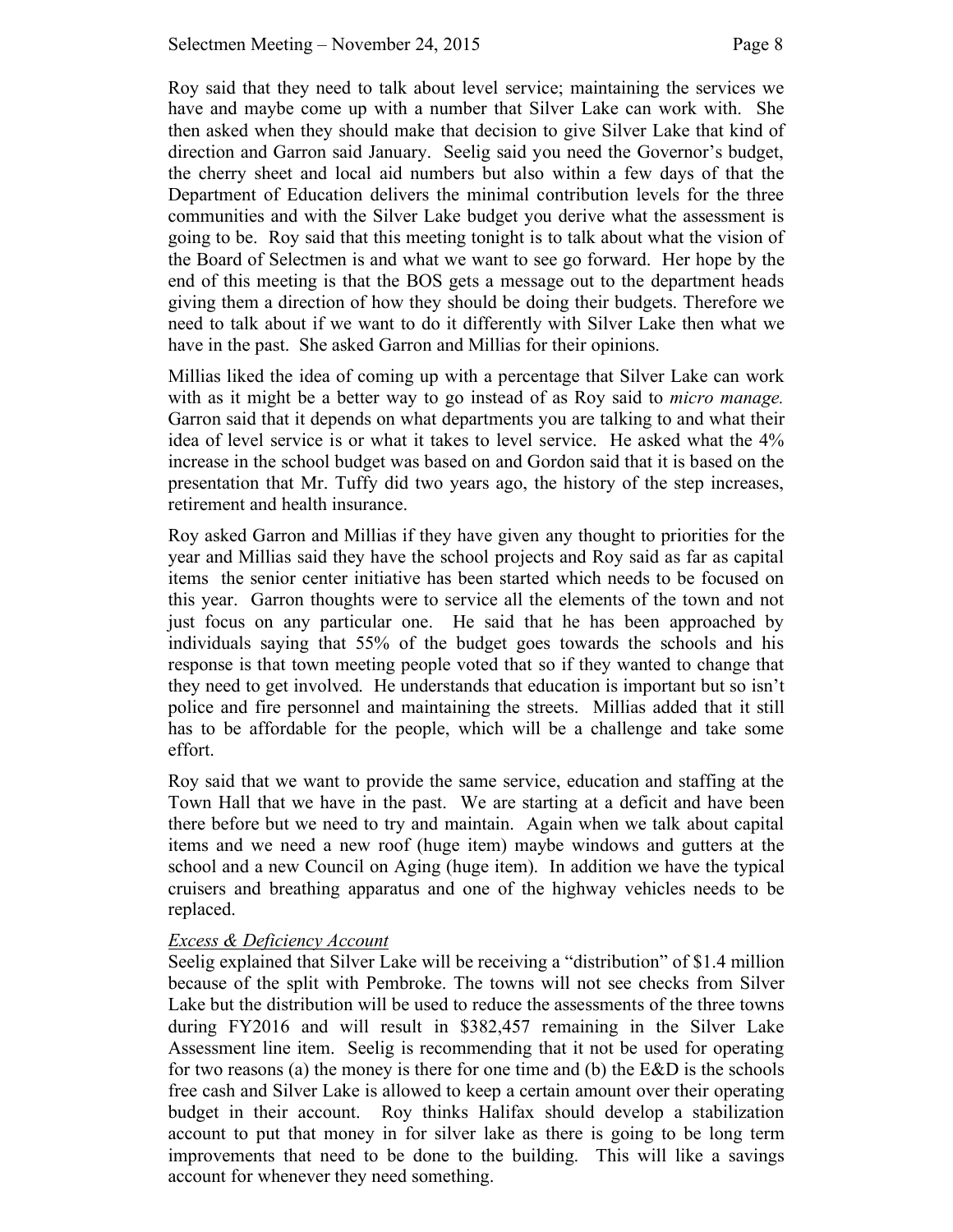Roy said that they need to talk about level service; maintaining the services we have and maybe come up with a number that Silver Lake can work with. She then asked when they should make that decision to give Silver Lake that kind of direction and Garron said January. Seelig said you need the Governor's budget, the cherry sheet and local aid numbers but also within a few days of that the Department of Education delivers the minimal contribution levels for the three communities and with the Silver Lake budget you derive what the assessment is going to be. Roy said that this meeting tonight is to talk about what the vision of the Board of Selectmen is and what we want to see go forward. Her hope by the end of this meeting is that the BOS gets a message out to the department heads giving them a direction of how they should be doing their budgets. Therefore we need to talk about if we want to do it differently with Silver Lake then what we have in the past. She asked Garron and Millias for their opinions.

Millias liked the idea of coming up with a percentage that Silver Lake can work with as it might be a better way to go instead of as Roy said to *micro manage.* Garron said that it depends on what departments you are talking to and what their idea of level service is or what it takes to level service. He asked what the 4% increase in the school budget was based on and Gordon said that it is based on the presentation that Mr. Tuffy did two years ago, the history of the step increases, retirement and health insurance.

Roy asked Garron and Millias if they have given any thought to priorities for the year and Millias said they have the school projects and Roy said as far as capital items the senior center initiative has been started which needs to be focused on this year. Garron thoughts were to service all the elements of the town and not just focus on any particular one. He said that he has been approached by individuals saying that 55% of the budget goes towards the schools and his response is that town meeting people voted that so if they wanted to change that they need to get involved. He understands that education is important but so isn't police and fire personnel and maintaining the streets. Millias added that it still has to be affordable for the people, which will be a challenge and take some effort.

Roy said that we want to provide the same service, education and staffing at the Town Hall that we have in the past. We are starting at a deficit and have been there before but we need to try and maintain. Again when we talk about capital items and we need a new roof (huge item) maybe windows and gutters at the school and a new Council on Aging (huge item). In addition we have the typical cruisers and breathing apparatus and one of the highway vehicles needs to be replaced.

### *Excess & Deficiency Account*

Seelig explained that Silver Lake will be receiving a "distribution" of \$1.4 million because of the split with Pembroke. The towns will not see checks from Silver Lake but the distribution will be used to reduce the assessments of the three towns during FY2016 and will result in \$382,457 remaining in the Silver Lake Assessment line item. Seelig is recommending that it not be used for operating for two reasons (a) the money is there for one time and (b) the E&D is the schools free cash and Silver Lake is allowed to keep a certain amount over their operating budget in their account. Roy thinks Halifax should develop a stabilization account to put that money in for silver lake as there is going to be long term improvements that need to be done to the building. This will like a savings account for whenever they need something.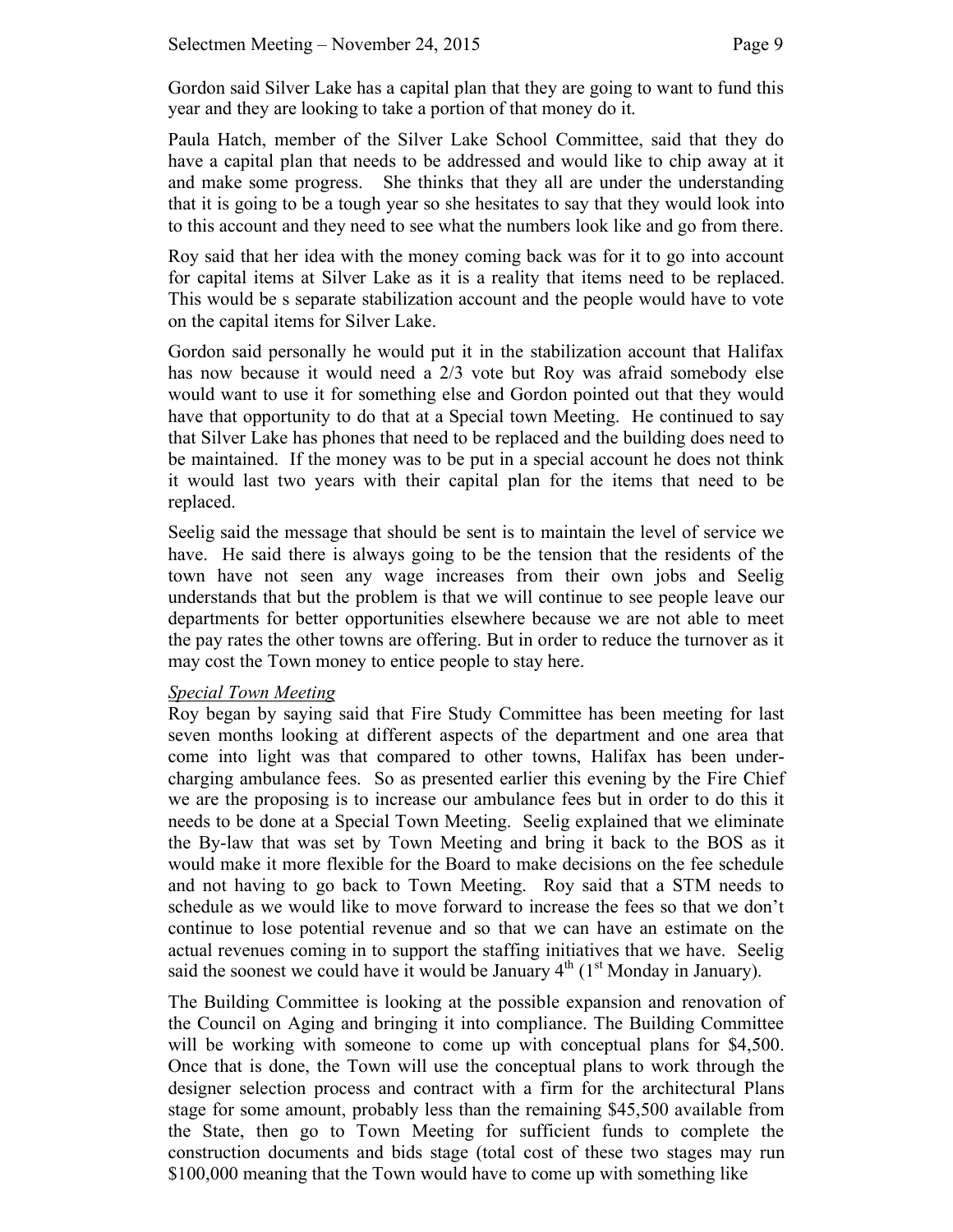Gordon said Silver Lake has a capital plan that they are going to want to fund this year and they are looking to take a portion of that money do it.

Paula Hatch, member of the Silver Lake School Committee, said that they do have a capital plan that needs to be addressed and would like to chip away at it and make some progress. She thinks that they all are under the understanding that it is going to be a tough year so she hesitates to say that they would look into to this account and they need to see what the numbers look like and go from there.

Roy said that her idea with the money coming back was for it to go into account for capital items at Silver Lake as it is a reality that items need to be replaced. This would be s separate stabilization account and the people would have to vote on the capital items for Silver Lake.

Gordon said personally he would put it in the stabilization account that Halifax has now because it would need a 2/3 vote but Roy was afraid somebody else would want to use it for something else and Gordon pointed out that they would have that opportunity to do that at a Special town Meeting. He continued to say that Silver Lake has phones that need to be replaced and the building does need to be maintained. If the money was to be put in a special account he does not think it would last two years with their capital plan for the items that need to be replaced.

Seelig said the message that should be sent is to maintain the level of service we have. He said there is always going to be the tension that the residents of the town have not seen any wage increases from their own jobs and Seelig understands that but the problem is that we will continue to see people leave our departments for better opportunities elsewhere because we are not able to meet the pay rates the other towns are offering. But in order to reduce the turnover as it may cost the Town money to entice people to stay here.

### *Special Town Meeting*

Roy began by saying said that Fire Study Committee has been meeting for last seven months looking at different aspects of the department and one area that come into light was that compared to other towns, Halifax has been undercharging ambulance fees. So as presented earlier this evening by the Fire Chief we are the proposing is to increase our ambulance fees but in order to do this it needs to be done at a Special Town Meeting. Seelig explained that we eliminate the By-law that was set by Town Meeting and bring it back to the BOS as it would make it more flexible for the Board to make decisions on the fee schedule and not having to go back to Town Meeting. Roy said that a STM needs to schedule as we would like to move forward to increase the fees so that we don't continue to lose potential revenue and so that we can have an estimate on the actual revenues coming in to support the staffing initiatives that we have. Seelig said the soonest we could have it would be January  $4<sup>th</sup>$  (1<sup>st</sup> Monday in January).

The Building Committee is looking at the possible expansion and renovation of the Council on Aging and bringing it into compliance. The Building Committee will be working with someone to come up with conceptual plans for \$4,500. Once that is done, the Town will use the conceptual plans to work through the designer selection process and contract with a firm for the architectural Plans stage for some amount, probably less than the remaining \$45,500 available from the State, then go to Town Meeting for sufficient funds to complete the construction documents and bids stage (total cost of these two stages may run \$100,000 meaning that the Town would have to come up with something like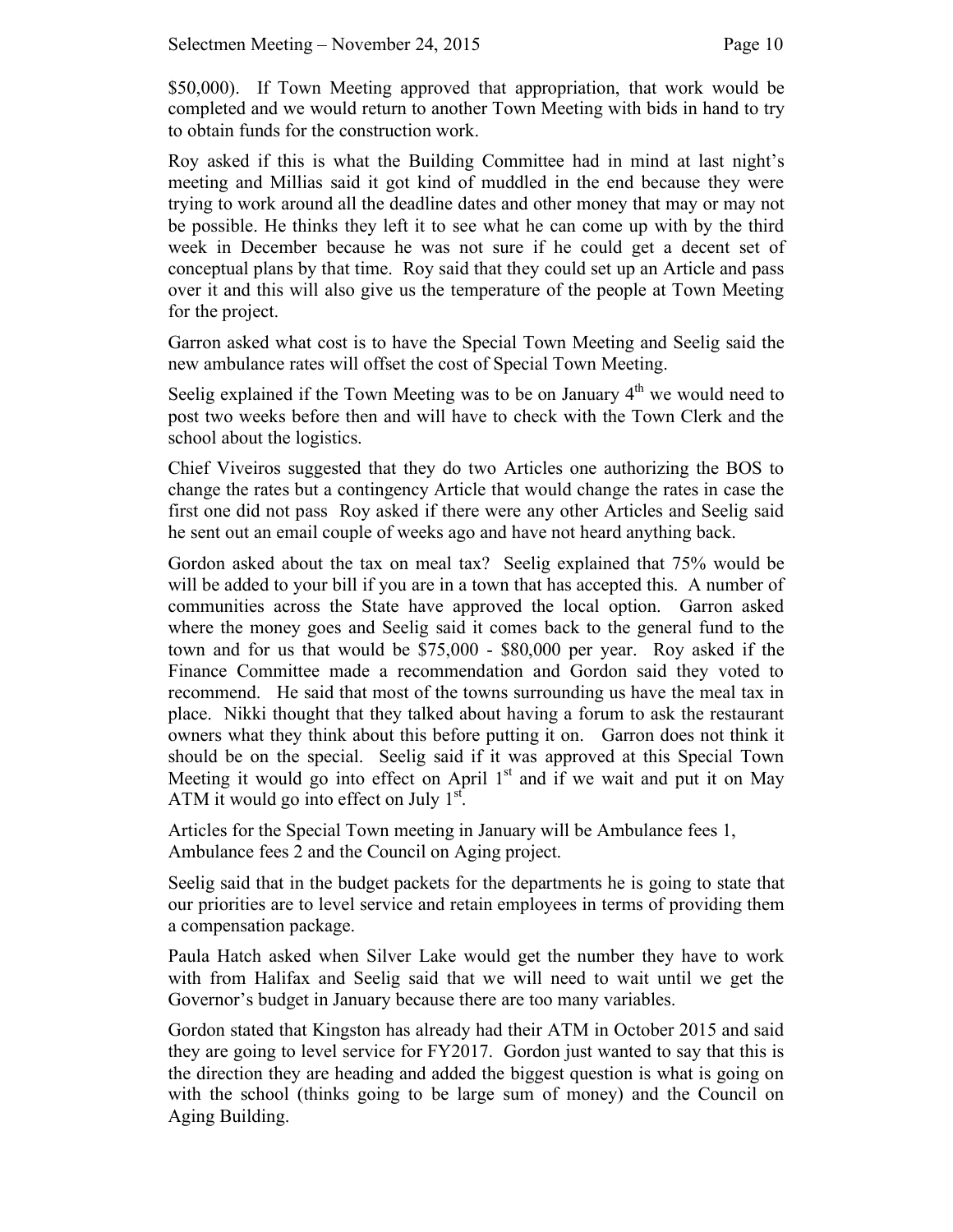\$50,000). If Town Meeting approved that appropriation, that work would be completed and we would return to another Town Meeting with bids in hand to try to obtain funds for the construction work.

Roy asked if this is what the Building Committee had in mind at last night's meeting and Millias said it got kind of muddled in the end because they were trying to work around all the deadline dates and other money that may or may not be possible. He thinks they left it to see what he can come up with by the third week in December because he was not sure if he could get a decent set of conceptual plans by that time. Roy said that they could set up an Article and pass over it and this will also give us the temperature of the people at Town Meeting for the project.

Garron asked what cost is to have the Special Town Meeting and Seelig said the new ambulance rates will offset the cost of Special Town Meeting.

Seelig explained if the Town Meeting was to be on January  $4<sup>th</sup>$  we would need to post two weeks before then and will have to check with the Town Clerk and the school about the logistics.

Chief Viveiros suggested that they do two Articles one authorizing the BOS to change the rates but a contingency Article that would change the rates in case the first one did not pass Roy asked if there were any other Articles and Seelig said he sent out an email couple of weeks ago and have not heard anything back.

Gordon asked about the tax on meal tax? Seelig explained that 75% would be will be added to your bill if you are in a town that has accepted this. A number of communities across the State have approved the local option. Garron asked where the money goes and Seelig said it comes back to the general fund to the town and for us that would be \$75,000 - \$80,000 per year. Roy asked if the Finance Committee made a recommendation and Gordon said they voted to recommend. He said that most of the towns surrounding us have the meal tax in place. Nikki thought that they talked about having a forum to ask the restaurant owners what they think about this before putting it on. Garron does not think it should be on the special. Seelig said if it was approved at this Special Town Meeting it would go into effect on April  $1<sup>st</sup>$  and if we wait and put it on May ATM it would go into effect on July  $1<sup>st</sup>$ .

Articles for the Special Town meeting in January will be Ambulance fees 1, Ambulance fees 2 and the Council on Aging project.

Seelig said that in the budget packets for the departments he is going to state that our priorities are to level service and retain employees in terms of providing them a compensation package.

Paula Hatch asked when Silver Lake would get the number they have to work with from Halifax and Seelig said that we will need to wait until we get the Governor's budget in January because there are too many variables.

Gordon stated that Kingston has already had their ATM in October 2015 and said they are going to level service for FY2017. Gordon just wanted to say that this is the direction they are heading and added the biggest question is what is going on with the school (thinks going to be large sum of money) and the Council on Aging Building.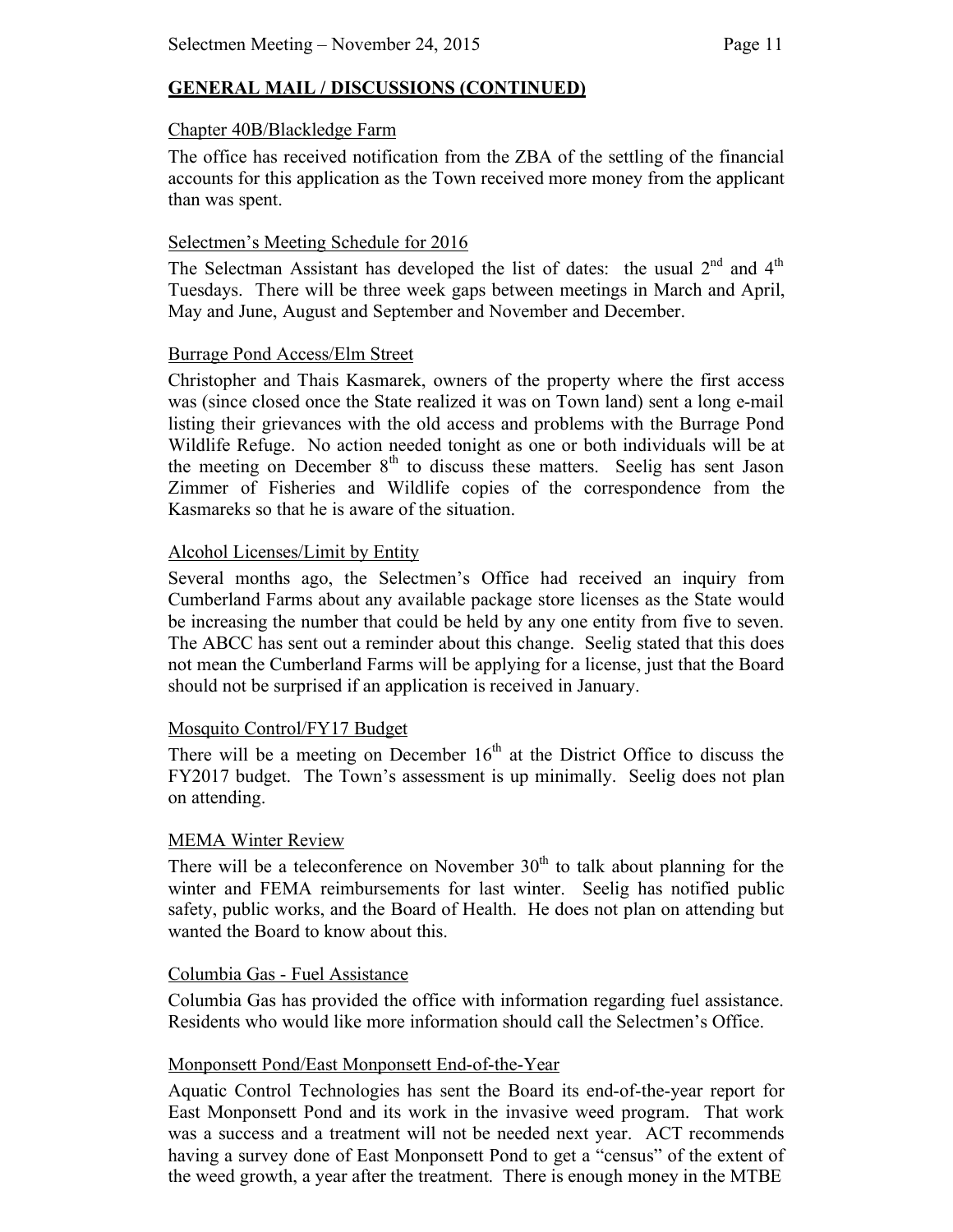## **GENERAL MAIL / DISCUSSIONS (CONTINUED)**

#### Chapter 40B/Blackledge Farm

The office has received notification from the ZBA of the settling of the financial accounts for this application as the Town received more money from the applicant than was spent.

### Selectmen's Meeting Schedule for 2016

The Selectman Assistant has developed the list of dates: the usual  $2<sup>nd</sup>$  and  $4<sup>th</sup>$ Tuesdays. There will be three week gaps between meetings in March and April, May and June, August and September and November and December.

### Burrage Pond Access/Elm Street

Christopher and Thais Kasmarek, owners of the property where the first access was (since closed once the State realized it was on Town land) sent a long e-mail listing their grievances with the old access and problems with the Burrage Pond Wildlife Refuge. No action needed tonight as one or both individuals will be at the meeting on December  $8<sup>th</sup>$  to discuss these matters. Seelig has sent Jason Zimmer of Fisheries and Wildlife copies of the correspondence from the Kasmareks so that he is aware of the situation.

### Alcohol Licenses/Limit by Entity

Several months ago, the Selectmen's Office had received an inquiry from Cumberland Farms about any available package store licenses as the State would be increasing the number that could be held by any one entity from five to seven. The ABCC has sent out a reminder about this change. Seelig stated that this does not mean the Cumberland Farms will be applying for a license, just that the Board should not be surprised if an application is received in January.

## Mosquito Control/FY17 Budget

There will be a meeting on December  $16<sup>th</sup>$  at the District Office to discuss the FY2017 budget. The Town's assessment is up minimally. Seelig does not plan on attending.

## MEMA Winter Review

There will be a teleconference on November  $30<sup>th</sup>$  to talk about planning for the winter and FEMA reimbursements for last winter. Seelig has notified public safety, public works, and the Board of Health. He does not plan on attending but wanted the Board to know about this.

### Columbia Gas - Fuel Assistance

Columbia Gas has provided the office with information regarding fuel assistance. Residents who would like more information should call the Selectmen's Office.

### Monponsett Pond/East Monponsett End-of-the-Year

Aquatic Control Technologies has sent the Board its end-of-the-year report for East Monponsett Pond and its work in the invasive weed program. That work was a success and a treatment will not be needed next year. ACT recommends having a survey done of East Monponsett Pond to get a "census" of the extent of the weed growth, a year after the treatment. There is enough money in the MTBE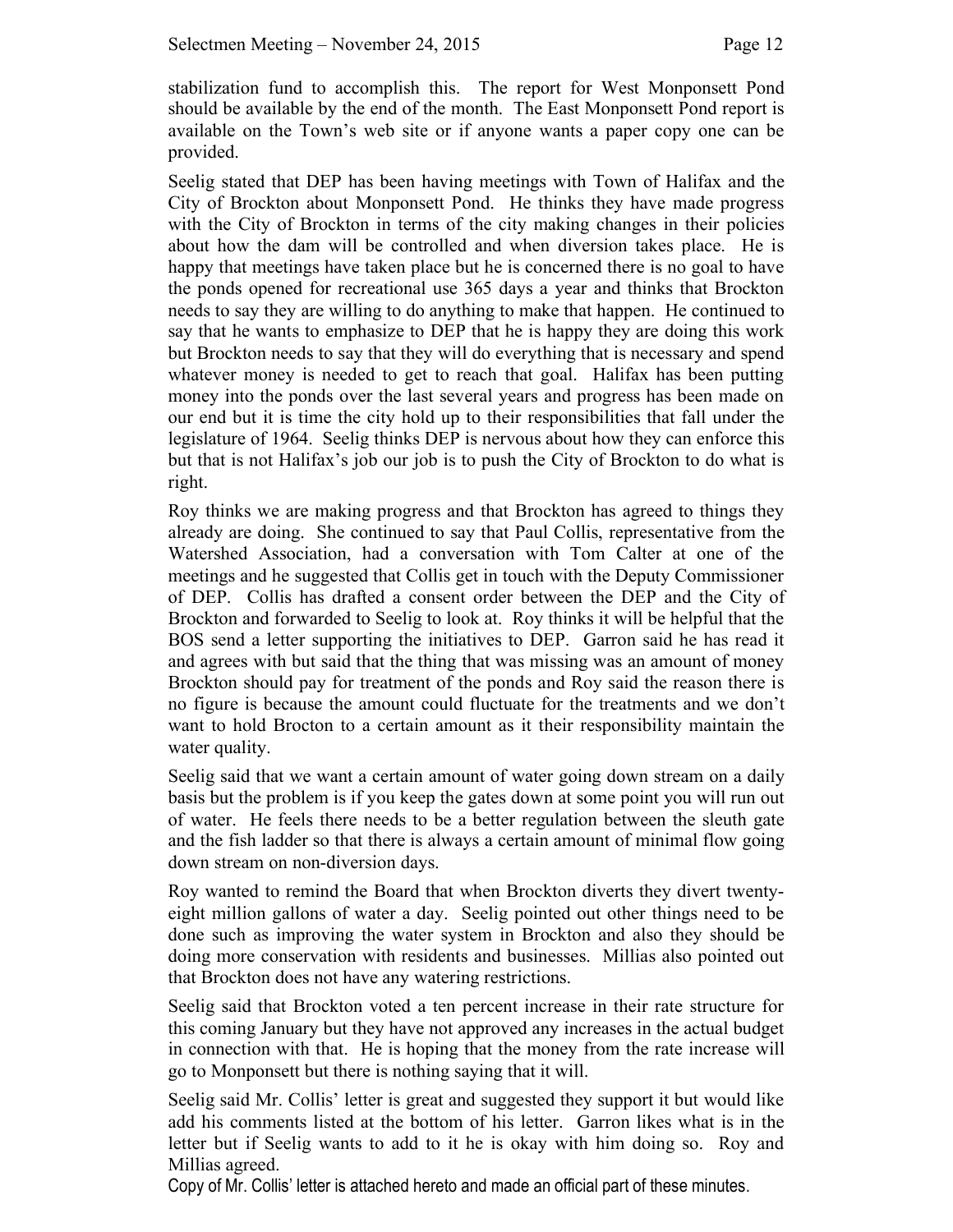stabilization fund to accomplish this. The report for West Monponsett Pond should be available by the end of the month. The East Monponsett Pond report is available on the Town's web site or if anyone wants a paper copy one can be provided.

Seelig stated that DEP has been having meetings with Town of Halifax and the City of Brockton about Monponsett Pond. He thinks they have made progress with the City of Brockton in terms of the city making changes in their policies about how the dam will be controlled and when diversion takes place. He is happy that meetings have taken place but he is concerned there is no goal to have the ponds opened for recreational use 365 days a year and thinks that Brockton needs to say they are willing to do anything to make that happen. He continued to say that he wants to emphasize to DEP that he is happy they are doing this work but Brockton needs to say that they will do everything that is necessary and spend whatever money is needed to get to reach that goal. Halifax has been putting money into the ponds over the last several years and progress has been made on our end but it is time the city hold up to their responsibilities that fall under the legislature of 1964. Seelig thinks DEP is nervous about how they can enforce this but that is not Halifax's job our job is to push the City of Brockton to do what is right.

Roy thinks we are making progress and that Brockton has agreed to things they already are doing. She continued to say that Paul Collis, representative from the Watershed Association, had a conversation with Tom Calter at one of the meetings and he suggested that Collis get in touch with the Deputy Commissioner of DEP. Collis has drafted a consent order between the DEP and the City of Brockton and forwarded to Seelig to look at. Roy thinks it will be helpful that the BOS send a letter supporting the initiatives to DEP. Garron said he has read it and agrees with but said that the thing that was missing was an amount of money Brockton should pay for treatment of the ponds and Roy said the reason there is no figure is because the amount could fluctuate for the treatments and we don't want to hold Brocton to a certain amount as it their responsibility maintain the water quality.

Seelig said that we want a certain amount of water going down stream on a daily basis but the problem is if you keep the gates down at some point you will run out of water. He feels there needs to be a better regulation between the sleuth gate and the fish ladder so that there is always a certain amount of minimal flow going down stream on non-diversion days.

Roy wanted to remind the Board that when Brockton diverts they divert twentyeight million gallons of water a day. Seelig pointed out other things need to be done such as improving the water system in Brockton and also they should be doing more conservation with residents and businesses. Millias also pointed out that Brockton does not have any watering restrictions.

Seelig said that Brockton voted a ten percent increase in their rate structure for this coming January but they have not approved any increases in the actual budget in connection with that. He is hoping that the money from the rate increase will go to Monponsett but there is nothing saying that it will.

Seelig said Mr. Collis' letter is great and suggested they support it but would like add his comments listed at the bottom of his letter. Garron likes what is in the letter but if Seelig wants to add to it he is okay with him doing so. Roy and Millias agreed.

Copy of Mr. Collis' letter is attached hereto and made an official part of these minutes.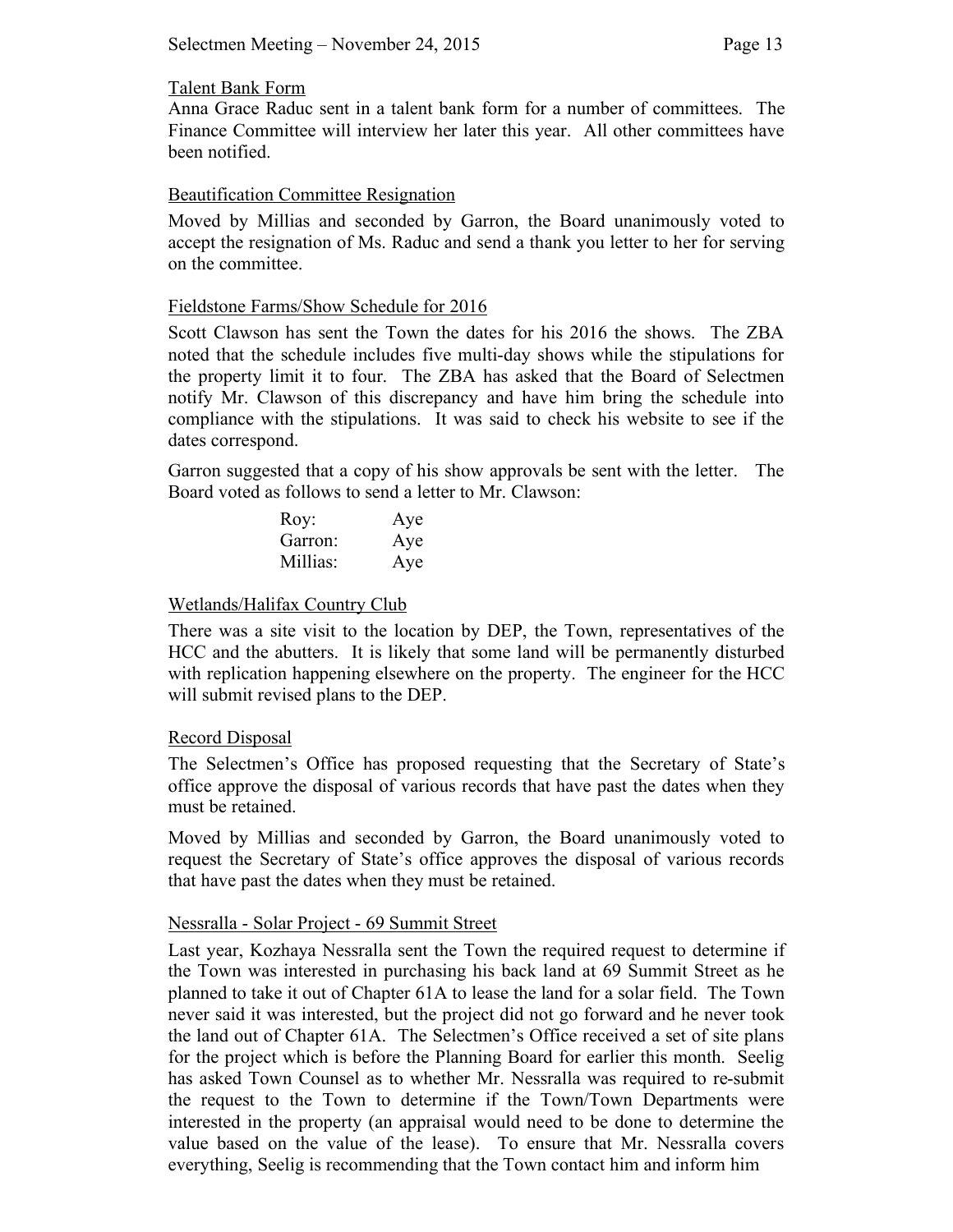### Talent Bank Form

Anna Grace Raduc sent in a talent bank form for a number of committees. The Finance Committee will interview her later this year. All other committees have been notified.

### Beautification Committee Resignation

Moved by Millias and seconded by Garron, the Board unanimously voted to accept the resignation of Ms. Raduc and send a thank you letter to her for serving on the committee.

### Fieldstone Farms/Show Schedule for 2016

Scott Clawson has sent the Town the dates for his 2016 the shows. The ZBA noted that the schedule includes five multi-day shows while the stipulations for the property limit it to four. The ZBA has asked that the Board of Selectmen notify Mr. Clawson of this discrepancy and have him bring the schedule into compliance with the stipulations. It was said to check his website to see if the dates correspond.

Garron suggested that a copy of his show approvals be sent with the letter. The Board voted as follows to send a letter to Mr. Clawson:

| Roy:     | Aye |
|----------|-----|
| Garron:  | Aye |
| Millias: | Aye |

### Wetlands/Halifax Country Club

There was a site visit to the location by DEP, the Town, representatives of the HCC and the abutters. It is likely that some land will be permanently disturbed with replication happening elsewhere on the property. The engineer for the HCC will submit revised plans to the DEP.

### Record Disposal

The Selectmen's Office has proposed requesting that the Secretary of State's office approve the disposal of various records that have past the dates when they must be retained.

Moved by Millias and seconded by Garron, the Board unanimously voted to request the Secretary of State's office approves the disposal of various records that have past the dates when they must be retained.

### Nessralla - Solar Project - 69 Summit Street

Last year, Kozhaya Nessralla sent the Town the required request to determine if the Town was interested in purchasing his back land at 69 Summit Street as he planned to take it out of Chapter 61A to lease the land for a solar field. The Town never said it was interested, but the project did not go forward and he never took the land out of Chapter 61A. The Selectmen's Office received a set of site plans for the project which is before the Planning Board for earlier this month. Seelig has asked Town Counsel as to whether Mr. Nessralla was required to re-submit the request to the Town to determine if the Town/Town Departments were interested in the property (an appraisal would need to be done to determine the value based on the value of the lease). To ensure that Mr. Nessralla covers everything, Seelig is recommending that the Town contact him and inform him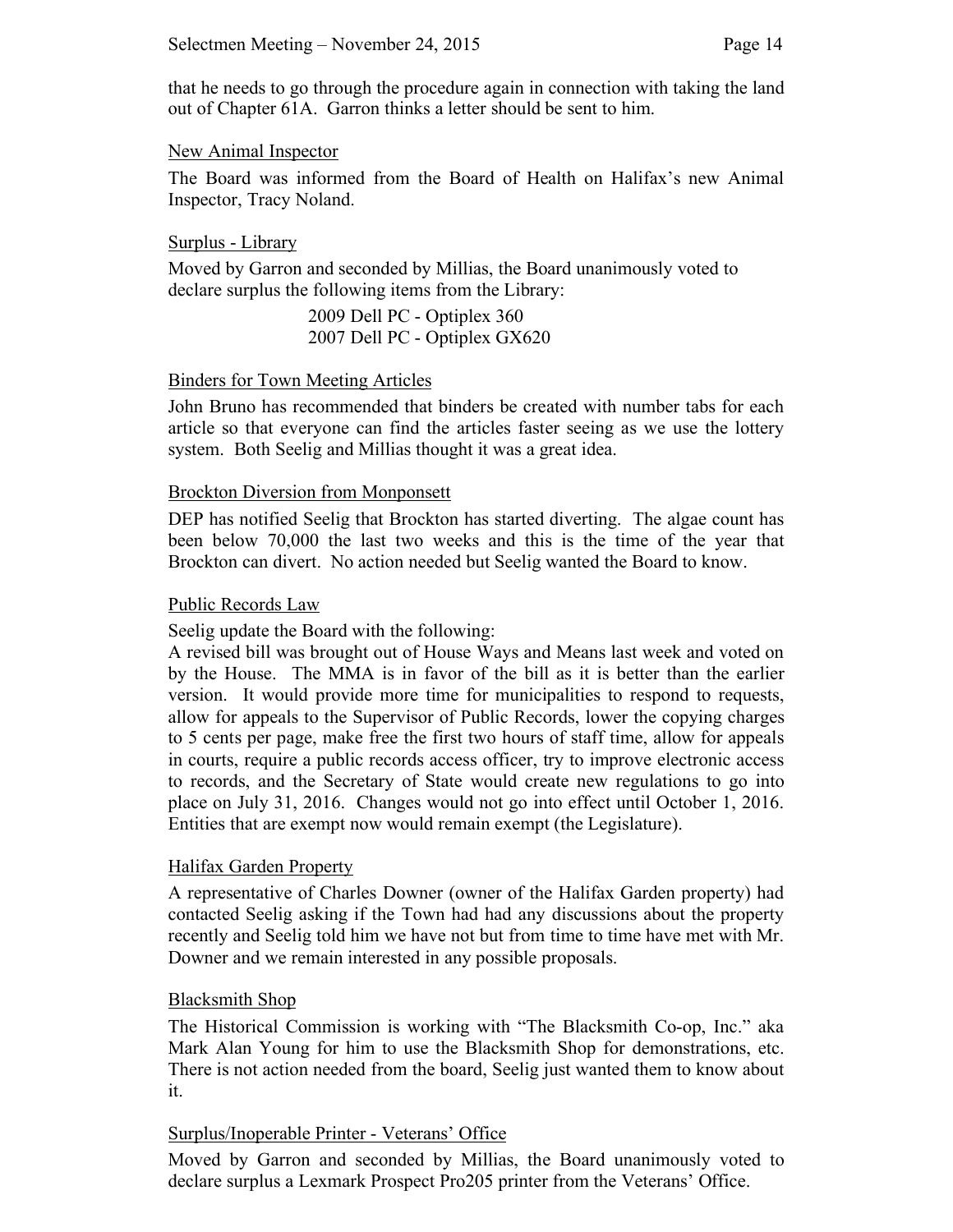that he needs to go through the procedure again in connection with taking the land out of Chapter 61A. Garron thinks a letter should be sent to him.

### New Animal Inspector

The Board was informed from the Board of Health on Halifax's new Animal Inspector, Tracy Noland.

### Surplus - Library

Moved by Garron and seconded by Millias, the Board unanimously voted to declare surplus the following items from the Library:

> 2009 Dell PC - Optiplex 360 2007 Dell PC - Optiplex GX620

# Binders for Town Meeting Articles

John Bruno has recommended that binders be created with number tabs for each article so that everyone can find the articles faster seeing as we use the lottery system. Both Seelig and Millias thought it was a great idea.

## Brockton Diversion from Monponsett

DEP has notified Seelig that Brockton has started diverting. The algae count has been below 70,000 the last two weeks and this is the time of the year that Brockton can divert. No action needed but Seelig wanted the Board to know.

### Public Records Law

Seelig update the Board with the following:

A revised bill was brought out of House Ways and Means last week and voted on by the House. The MMA is in favor of the bill as it is better than the earlier version. It would provide more time for municipalities to respond to requests, allow for appeals to the Supervisor of Public Records, lower the copying charges to 5 cents per page, make free the first two hours of staff time, allow for appeals in courts, require a public records access officer, try to improve electronic access to records, and the Secretary of State would create new regulations to go into place on July 31, 2016. Changes would not go into effect until October 1, 2016. Entities that are exempt now would remain exempt (the Legislature).

## Halifax Garden Property

A representative of Charles Downer (owner of the Halifax Garden property) had contacted Seelig asking if the Town had had any discussions about the property recently and Seelig told him we have not but from time to time have met with Mr. Downer and we remain interested in any possible proposals.

## Blacksmith Shop

The Historical Commission is working with "The Blacksmith Co-op, Inc." aka Mark Alan Young for him to use the Blacksmith Shop for demonstrations, etc. There is not action needed from the board, Seelig just wanted them to know about it.

## Surplus/Inoperable Printer - Veterans' Office

Moved by Garron and seconded by Millias, the Board unanimously voted to declare surplus a Lexmark Prospect Pro205 printer from the Veterans' Office.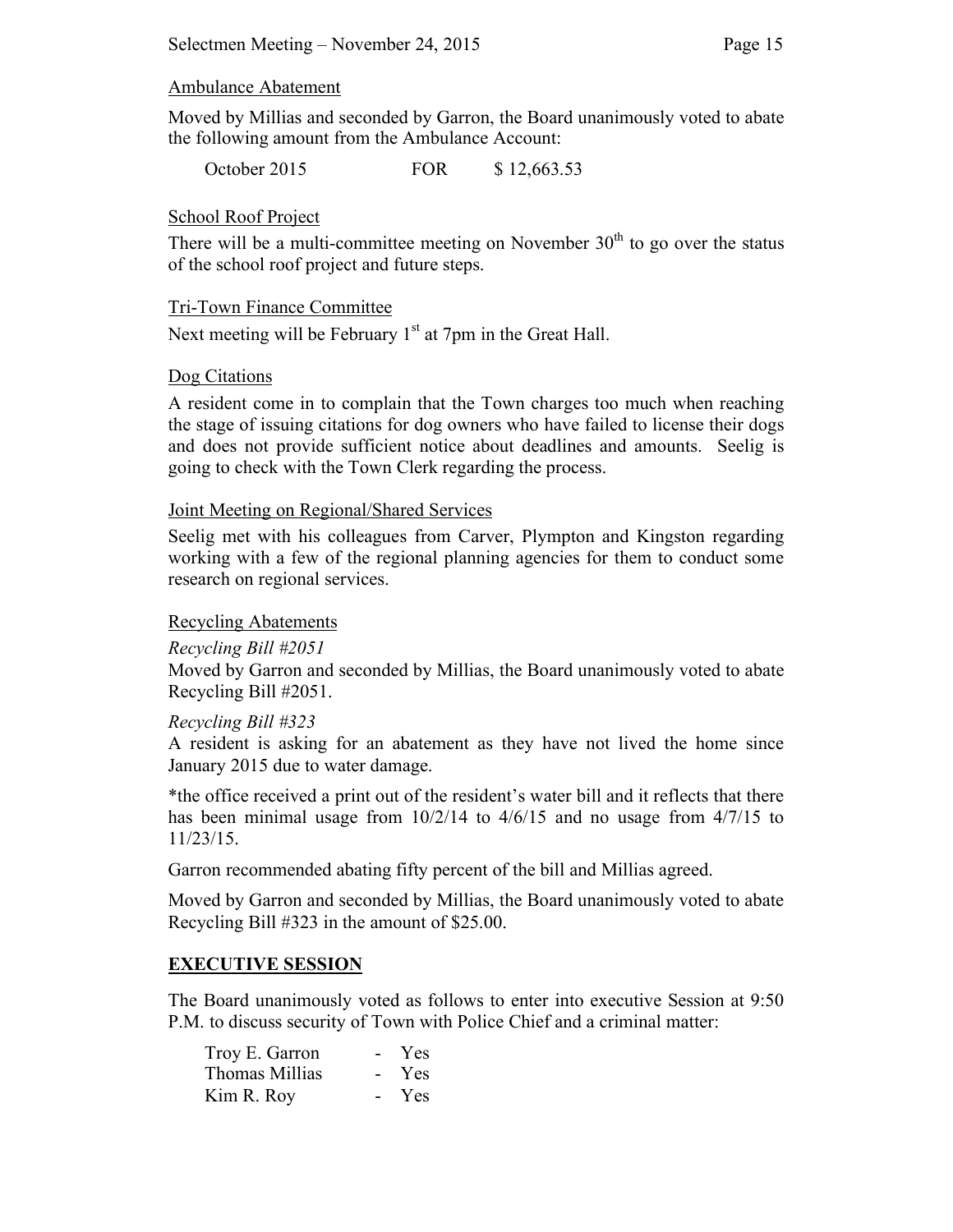### Ambulance Abatement

Moved by Millias and seconded by Garron, the Board unanimously voted to abate the following amount from the Ambulance Account:

October 2015 FOR \$ 12,663.53

## School Roof Project

There will be a multi-committee meeting on November  $30<sup>th</sup>$  to go over the status of the school roof project and future steps.

### Tri-Town Finance Committee

Next meeting will be February  $1<sup>st</sup>$  at 7pm in the Great Hall.

## Dog Citations

A resident come in to complain that the Town charges too much when reaching the stage of issuing citations for dog owners who have failed to license their dogs and does not provide sufficient notice about deadlines and amounts. Seelig is going to check with the Town Clerk regarding the process.

### Joint Meeting on Regional/Shared Services

Seelig met with his colleagues from Carver, Plympton and Kingston regarding working with a few of the regional planning agencies for them to conduct some research on regional services.

### Recycling Abatements

## *Recycling Bill #2051*

Moved by Garron and seconded by Millias, the Board unanimously voted to abate Recycling Bill #2051.

### *Recycling Bill #323*

A resident is asking for an abatement as they have not lived the home since January 2015 due to water damage.

\*the office received a print out of the resident's water bill and it reflects that there has been minimal usage from 10/2/14 to 4/6/15 and no usage from 4/7/15 to 11/23/15.

Garron recommended abating fifty percent of the bill and Millias agreed.

Moved by Garron and seconded by Millias, the Board unanimously voted to abate Recycling Bill #323 in the amount of \$25.00.

## **EXECUTIVE SESSION**

The Board unanimously voted as follows to enter into executive Session at 9:50 P.M. to discuss security of Town with Police Chief and a criminal matter:

| Troy E. Garron | $\sim$         | <b>Yes</b> |
|----------------|----------------|------------|
| Thomas Millias | $\sim$ 10 $\,$ | Yes.       |
| Kim R. Roy     | $\sim$ 10 $\,$ | <b>Yes</b> |